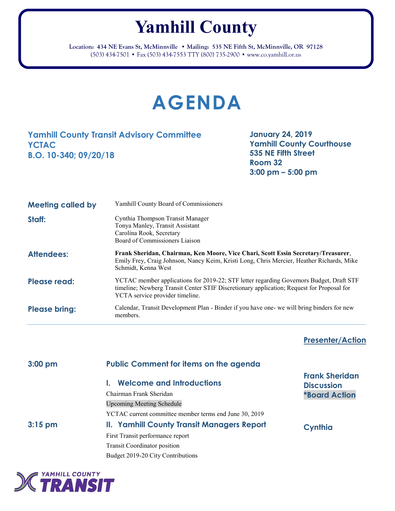## **Yamhill County**

**Location: 434 NE Evans St, McMinnville** • **Mailing: 535 NE Fifth St, McMinnville, OR 97128** (503) 434-7501 • Fax (503) 434-7553 TTY (800) 735-2900 • www.co.yamhill.or.us

## **AGENDA**

## **Yamhill County Transit Advisory Committee YCTAC B.O. 10-340; 09/20/18**

**January 24, 2019 Yamhill County Courthouse 535 NE Fifth Street Room 32 3:00 pm – 5:00 pm**

| <b>Meeting called by</b> | <b>Yamhill County Board of Commissioners</b>                                                                                                                                                                            |
|--------------------------|-------------------------------------------------------------------------------------------------------------------------------------------------------------------------------------------------------------------------|
| Staff:                   | Cynthia Thompson Transit Manager<br>Tonya Manley, Transit Assistant<br>Carolina Rook, Secretary<br>Board of Commissioners Liaison                                                                                       |
| <b>Attendees:</b>        | Frank Sheridan, Chairman, Ken Moore, Vice Chari, Scott Essin Secretary/Treasurer,<br>Emily Frey, Craig Johnson, Nancy Keim, Kristi Long, Chris Mercier, Heather Richards, Mike<br>Schmidt, Kenna West                   |
| Please read:             | YCTAC member applications for 2019-22; STF letter regarding Governors Budget, Draft STF<br>timeline; Newberg Transit Center STIF Discretionary application; Request for Proposal for<br>YCTA service provider timeline. |
| <b>Please bring:</b>     | Calendar, Transit Development Plan - Binder if you have one- we will bring binders for new<br>members.                                                                                                                  |

**Presenter/Action**

| $3:00$ pm | <b>Public Comment for items on the agenda</b>          |                                            |
|-----------|--------------------------------------------------------|--------------------------------------------|
|           | <b>Welcome and Introductions</b>                       | <b>Frank Sheridan</b><br><b>Discussion</b> |
|           | Chairman Frank Sheridan                                | <b>*Board Action</b>                       |
|           | <b>Upcoming Meeting Schedule</b>                       |                                            |
|           | YCTAC current committee member terms end June 30, 2019 |                                            |
| $3:15$ pm | <b>II. Yamhill County Transit Managers Report</b>      | Cynthia                                    |
|           | First Transit performance report                       |                                            |
|           | <b>Transit Coordinator position</b>                    |                                            |
|           | Budget 2019-20 City Contributions                      |                                            |